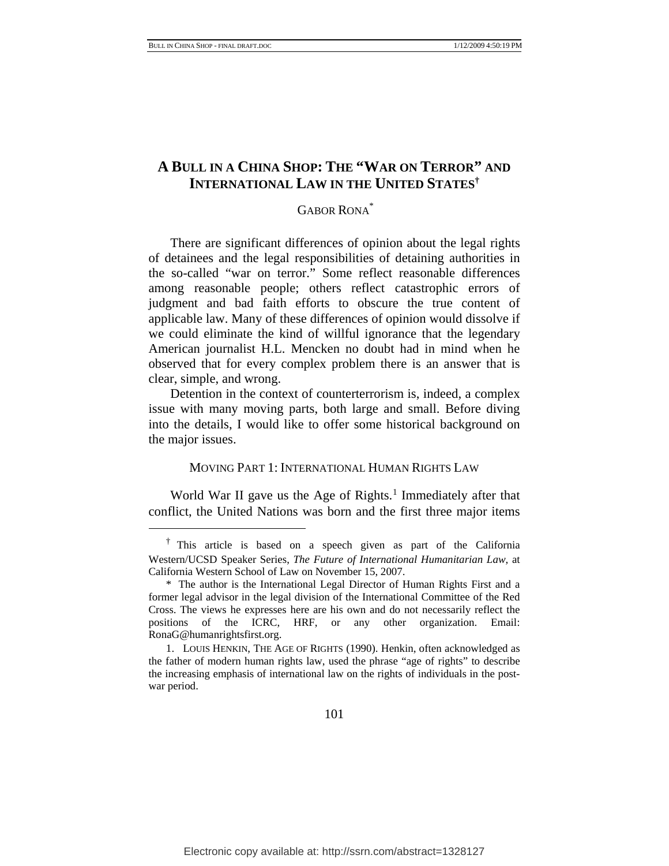# **A BULL IN A CHINA SHOP: THE "WAR ON TERROR" AND INTERNATIONAL LAW IN THE UNITED STATES†**

# GABOR RONA\*

There are significant differences of opinion about the legal rights of detainees and the legal responsibilities of detaining authorities in the so-called "war on terror." Some reflect reasonable differences among reasonable people; others reflect catastrophic errors of judgment and bad faith efforts to obscure the true content of applicable law. Many of these differences of opinion would dissolve if we could eliminate the kind of willful ignorance that the legendary American journalist H.L. Mencken no doubt had in mind when he observed that for every complex problem there is an answer that is clear, simple, and wrong.

Detention in the context of counterterrorism is, indeed, a complex issue with many moving parts, both large and small. Before diving into the details, I would like to offer some historical background on the major issues.

#### MOVING PART 1: INTERNATIONAL HUMAN RIGHTS LAW

World War II gave us the Age of Rights.<sup>[1](#page-0-0)</sup> Immediately after that conflict, the United Nations was born and the first three major items

<span id="page-0-0"></span><sup>†</sup> This article is based on a speech given as part of the California Western/UCSD Speaker Series, *The Future of International Humanitarian Law*, at California Western School of Law on November 15, 2007.

<sup>\*</sup> The author is the International Legal Director of Human Rights First and a former legal advisor in the legal division of the International Committee of the Red Cross. The views he expresses here are his own and do not necessarily reflect the positions of the ICRC, HRF, or any other organization. Email: RonaG@humanrightsfirst.org.

<sup>1.</sup> LOUIS HENKIN, THE AGE OF RIGHTS (1990). Henkin, often acknowledged as the father of modern human rights law, used the phrase "age of rights" to describe the increasing emphasis of international law on the rights of individuals in the postwar period.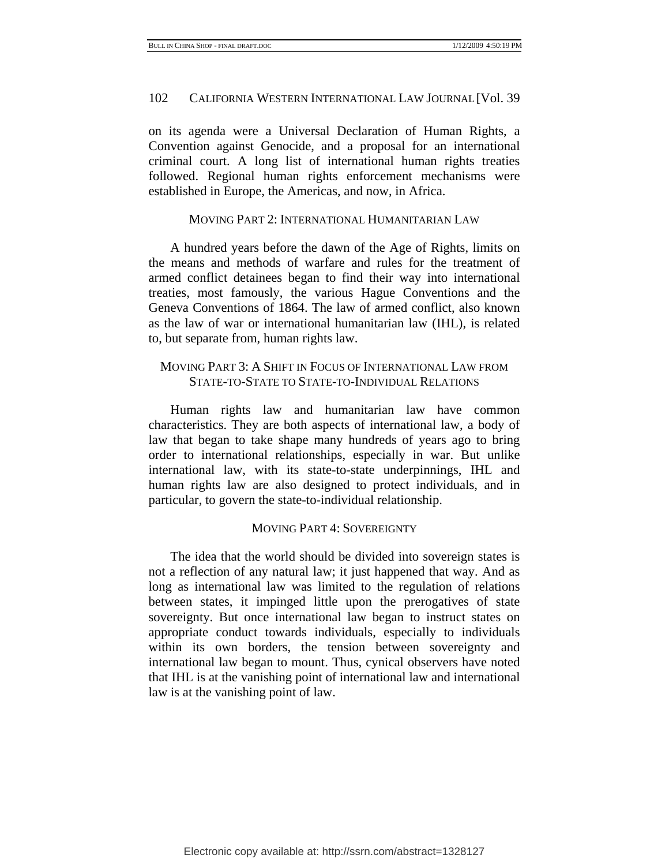on its agenda were a Universal Declaration of Human Rights, a Convention against Genocide, and a proposal for an international criminal court. A long list of international human rights treaties followed. Regional human rights enforcement mechanisms were established in Europe, the Americas, and now, in Africa.

#### MOVING PART 2: INTERNATIONAL HUMANITARIAN LAW

A hundred years before the dawn of the Age of Rights, limits on the means and methods of warfare and rules for the treatment of armed conflict detainees began to find their way into international treaties, most famously, the various Hague Conventions and the Geneva Conventions of 1864. The law of armed conflict, also known as the law of war or international humanitarian law (IHL), is related to, but separate from, human rights law.

# MOVING PART 3: A SHIFT IN FOCUS OF INTERNATIONAL LAW FROM STATE-TO-STATE TO STATE-TO-INDIVIDUAL RELATIONS

Human rights law and humanitarian law have common characteristics. They are both aspects of international law, a body of law that began to take shape many hundreds of years ago to bring order to international relationships, especially in war. But unlike international law, with its state-to-state underpinnings, IHL and human rights law are also designed to protect individuals, and in particular, to govern the state-to-individual relationship.

#### MOVING PART 4: SOVEREIGNTY

The idea that the world should be divided into sovereign states is not a reflection of any natural law; it just happened that way. And as long as international law was limited to the regulation of relations between states, it impinged little upon the prerogatives of state sovereignty. But once international law began to instruct states on appropriate conduct towards individuals, especially to individuals within its own borders, the tension between sovereignty and international law began to mount. Thus, cynical observers have noted that IHL is at the vanishing point of international law and international law is at the vanishing point of law.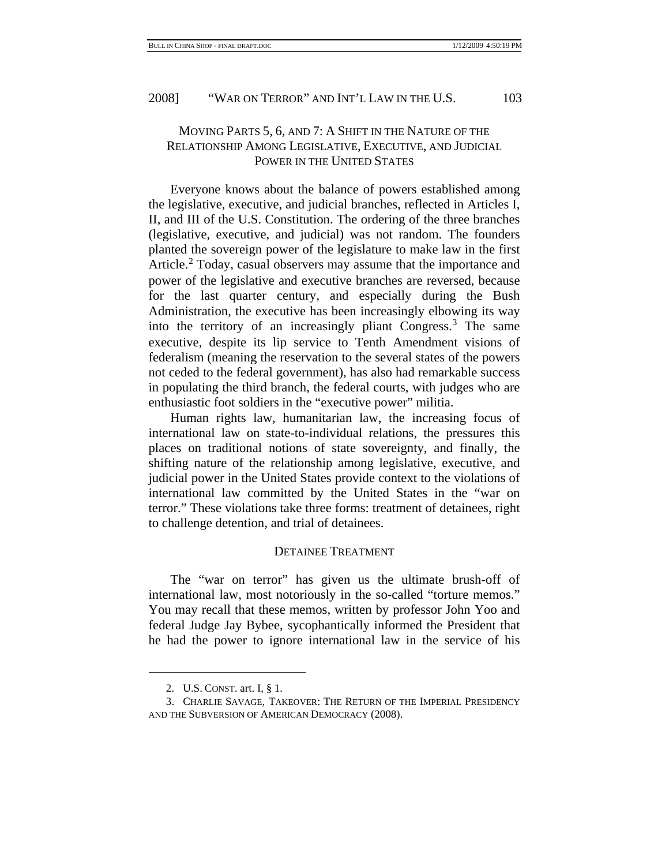# MOVING PARTS 5, 6, AND 7: A SHIFT IN THE NATURE OF THE RELATIONSHIP AMONG LEGISLATIVE, EXECUTIVE, AND JUDICIAL POWER IN THE UNITED STATES

Everyone knows about the balance of powers established among the legislative, executive, and judicial branches, reflected in Articles I, II, and III of the U.S. Constitution. The ordering of the three branches (legislative, executive, and judicial) was not random. The founders planted the sovereign power of the legislature to make law in the first Article.<sup>[2](#page-2-0)</sup> Today, casual observers may assume that the importance and power of the legislative and executive branches are reversed, because for the last quarter century, and especially during the Bush Administration, the executive has been increasingly elbowing its way into the territory of an increasingly pliant Congress.[3](#page-2-1) The same executive, despite its lip service to Tenth Amendment visions of federalism (meaning the reservation to the several states of the powers not ceded to the federal government), has also had remarkable success in populating the third branch, the federal courts, with judges who are enthusiastic foot soldiers in the "executive power" militia.

Human rights law, humanitarian law, the increasing focus of international law on state-to-individual relations, the pressures this places on traditional notions of state sovereignty, and finally, the shifting nature of the relationship among legislative, executive, and judicial power in the United States provide context to the violations of international law committed by the United States in the "war on terror." These violations take three forms: treatment of detainees, right to challenge detention, and trial of detainees.

#### DETAINEE TREATMENT

The "war on terror" has given us the ultimate brush-off of international law, most notoriously in the so-called "torture memos." You may recall that these memos, written by professor John Yoo and federal Judge Jay Bybee, sycophantically informed the President that he had the power to ignore international law in the service of his

<sup>2.</sup> U.S. CONST. art. I, § 1.

<span id="page-2-1"></span><span id="page-2-0"></span><sup>3.</sup> CHARLIE SAVAGE, TAKEOVER: THE RETURN OF THE IMPERIAL PRESIDENCY AND THE SUBVERSION OF AMERICAN DEMOCRACY (2008).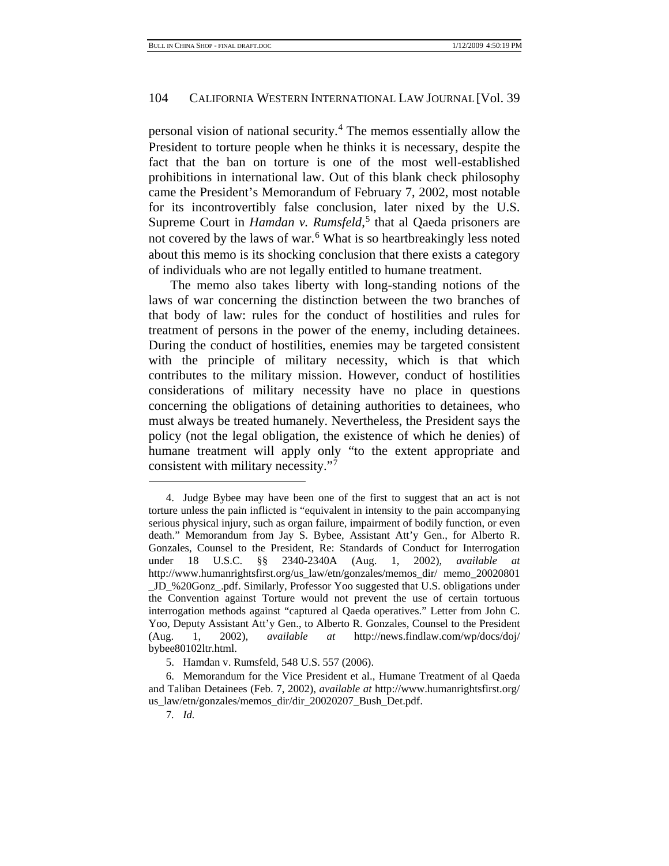personal vision of national security.<sup>[4](#page-3-0)</sup> The memos essentially allow the President to torture people when he thinks it is necessary, despite the fact that the ban on torture is one of the most well-established prohibitions in international law. Out of this blank check philosophy came the President's Memorandum of February 7, 2002, most notable for its incontrovertibly false conclusion, later nixed by the U.S. Supreme Court in *Hamdan v. Rumsfeld*,<sup>[5](#page-3-1)</sup> that al Qaeda prisoners are not covered by the laws of war.<sup>[6](#page-3-2)</sup> What is so heartbreakingly less noted about this memo is its shocking conclusion that there exists a category of individuals who are not legally entitled to humane treatment.

The memo also takes liberty with long-standing notions of the laws of war concerning the distinction between the two branches of that body of law: rules for the conduct of hostilities and rules for treatment of persons in the power of the enemy, including detainees. During the conduct of hostilities, enemies may be targeted consistent with the principle of military necessity, which is that which contributes to the military mission. However, conduct of hostilities considerations of military necessity have no place in questions concerning the obligations of detaining authorities to detainees, who must always be treated humanely. Nevertheless, the President says the policy (not the legal obligation, the existence of which he denies) of humane treatment will apply only "to the extent appropriate and consistent with military necessity."[7](#page-3-3)

<span id="page-3-0"></span><sup>4.</sup> Judge Bybee may have been one of the first to suggest that an act is not torture unless the pain inflicted is "equivalent in intensity to the pain accompanying serious physical injury, such as organ failure, impairment of bodily function, or even death." Memorandum from Jay S. Bybee, Assistant Att'y Gen., for Alberto R. Gonzales, Counsel to the President, Re: Standards of Conduct for Interrogation under 18 U.S.C. §§ 2340-2340A (Aug. 1, 2002), *available at* http://www.humanrightsfirst.org/us\_law/etn/gonzales/memos\_dir/ memo\_20020801 \_JD\_%20Gonz\_.pdf. Similarly, Professor Yoo suggested that U.S. obligations under the Convention against Torture would not prevent the use of certain tortuous interrogation methods against "captured al Qaeda operatives." Letter from John C. Yoo, Deputy Assistant Att'y Gen., to Alberto R. Gonzales, Counsel to the President (Aug. 1, 2002), *available at* http://news.findlaw.com/wp/docs/doj/ bybee80102ltr.html.

<sup>5.</sup> Hamdan v. Rumsfeld, 548 U.S. 557 (2006).

<span id="page-3-3"></span><span id="page-3-2"></span><span id="page-3-1"></span><sup>6.</sup> Memorandum for the Vice President et al., Humane Treatment of al Qaeda and Taliban Detainees (Feb. 7, 2002), *available at* http://www.humanrightsfirst.org/ us\_law/etn/gonzales/memos\_dir/dir\_20020207\_Bush\_Det.pdf.

<sup>7</sup>*. Id.*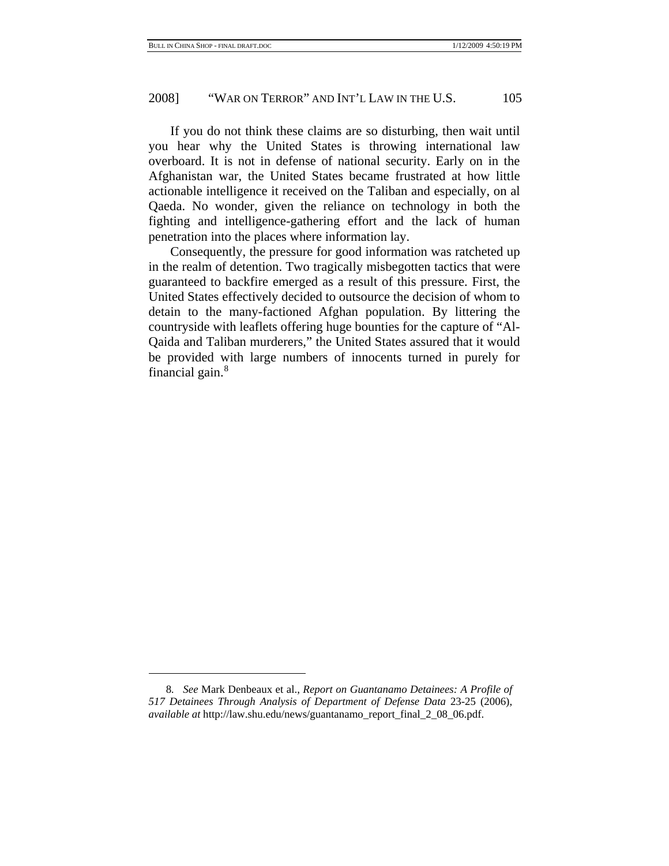# 2008] "WAR ON TERROR" AND INT'L LAW IN THE U.S. 105

If you do not think these claims are so disturbing, then wait until you hear why the United States is throwing international law overboard. It is not in defense of national security. Early on in the Afghanistan war, the United States became frustrated at how little actionable intelligence it received on the Taliban and especially, on al Qaeda. No wonder, given the reliance on technology in both the fighting and intelligence-gathering effort and the lack of human penetration into the places where information lay.

Consequently, the pressure for good information was ratcheted up in the realm of detention. Two tragically misbegotten tactics that were guaranteed to backfire emerged as a result of this pressure. First, the United States effectively decided to outsource the decision of whom to detain to the many-factioned Afghan population. By littering the countryside with leaflets offering huge bounties for the capture of "Al-Qaida and Taliban murderers," the United States assured that it would be provided with large numbers of innocents turned in purely for financial gain. $8$ 

<span id="page-4-0"></span><sup>8</sup>*. See* Mark Denbeaux et al., *Report on Guantanamo Detainees: A Profile of 517 Detainees Through Analysis of Department of Defense Data* 23-25 (2006), *available at* http://law.shu.edu/news/guantanamo\_report\_final\_2\_08\_06.pdf.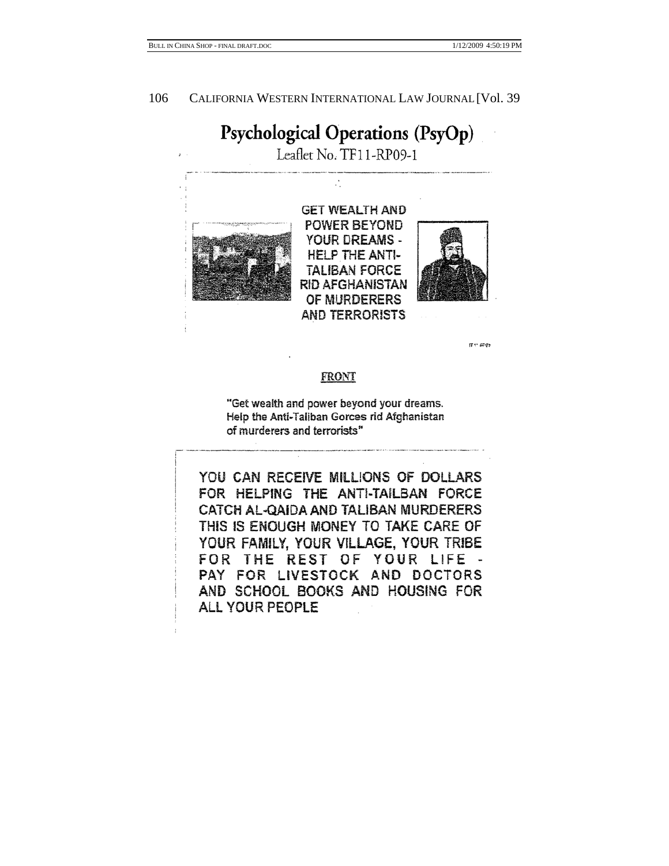$1712602$ 

106 CALIFORNIA WESTERN INTERNATIONAL LAW JOURNAL [Vol. 39

# Psychological Operations (PsyOp)

Leaflet No. TF11-RP09-1



# FRONT

"Get wealth and power beyond your dreams. Help the Anti-Taliban Gorces rid Afghanistan of murderers and terrorists"

YOU CAN RECEIVE MILLIONS OF DOLLARS FOR HELPING THE ANTI-TAILBAN FORCE CATCH AL-QAIDA AND TALIBAN MURDERERS THIS IS ENOUGH MONEY TO TAKE CARE OF YOUR FAMILY, YOUR VILLAGE, YOUR TRIBE FOR THE REST OF YOUR LIFE -PAY FOR LIVESTOCK AND DOCTORS AND SCHOOL BOOKS AND HOUSING FOR ALL YOUR PEOPLE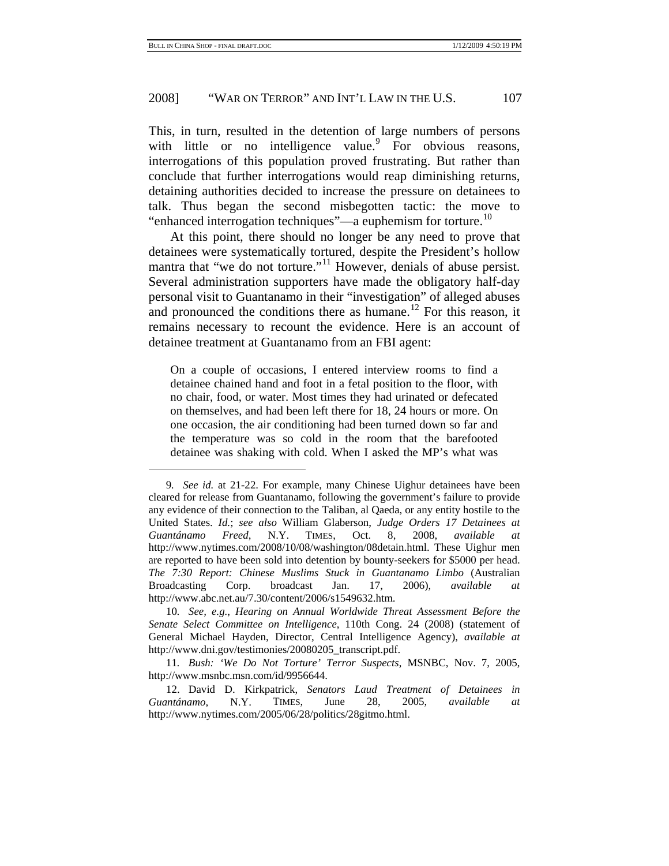# 2008] "WAR ON TERROR" AND INT'L LAW IN THE U.S. 107

This, in turn, resulted in the detention of large numbers of persons with little or no intelligence value. For obvious reasons, interrogations of this population proved frustrating. But rather than conclude that further interrogations would reap diminishing returns, detaining authorities decided to increase the pressure on detainees to talk. Thus began the second misbegotten tactic: the move to "enhanced interrogation techniques"—a euphemism for torture.<sup>[10](#page-6-1)</sup>

At this point, there should no longer be any need to prove that detainees were systematically tortured, despite the President's hollow mantra that "we do not torture."<sup>[11](#page-6-2)</sup> However, denials of abuse persist. Several administration supporters have made the obligatory half-day personal visit to Guantanamo in their "investigation" of alleged abuses and pronounced the conditions there as humane.<sup>12</sup> For this reason, it remains necessary to recount the evidence. Here is an account of detainee treatment at Guantanamo from an FBI agent:

On a couple of occasions, I entered interview rooms to find a detainee chained hand and foot in a fetal position to the floor, with no chair, food, or water. Most times they had urinated or defecated on themselves, and had been left there for 18, 24 hours or more. On one occasion, the air conditioning had been turned down so far and the temperature was so cold in the room that the barefooted detainee was shaking with cold. When I asked the MP's what was

<span id="page-6-0"></span><sup>9</sup>*. See id.* at 21-22. For example, many Chinese Uighur detainees have been cleared for release from Guantanamo, following the government's failure to provide any evidence of their connection to the Taliban, al Qaeda, or any entity hostile to the United States. *Id.*; *see also* William Glaberson, *Judge Orders 17 Detainees at Guantánamo Freed*, N.Y. TIMES, Oct. 8, 2008, *available at* http://www.nytimes.com/2008/10/08/washington/08detain.html. These Uighur men are reported to have been sold into detention by bounty-seekers for \$5000 per head. *The 7:30 Report: Chinese Muslims Stuck in Guantanamo Limbo* (Australian Broadcasting Corp. broadcast Jan. 17, 2006), *available at* http://www.abc.net.au/7.30/content/2006/s1549632.htm.

<span id="page-6-1"></span><sup>10</sup>*. See, e.g.*, *Hearing on Annual Worldwide Threat Assessment Before the Senate Select Committee on Intelligence*, 110th Cong. 24 (2008) (statement of General Michael Hayden, Director, Central Intelligence Agency), *available at* http://www.dni.gov/testimonies/20080205\_transcript.pdf.

<span id="page-6-2"></span><sup>11</sup>*. Bush: 'We Do Not Torture' Terror Suspects*, MSNBC, Nov. 7, 2005, http://www.msnbc.msn.com/id/9956644.

<span id="page-6-3"></span><sup>12.</sup> David D. Kirkpatrick, *Senators Laud Treatment of Detainees in Guantánamo*, N.Y. TIMES, June 28, 2005, *available at* http://www.nytimes.com/2005/06/28/politics/28gitmo.html.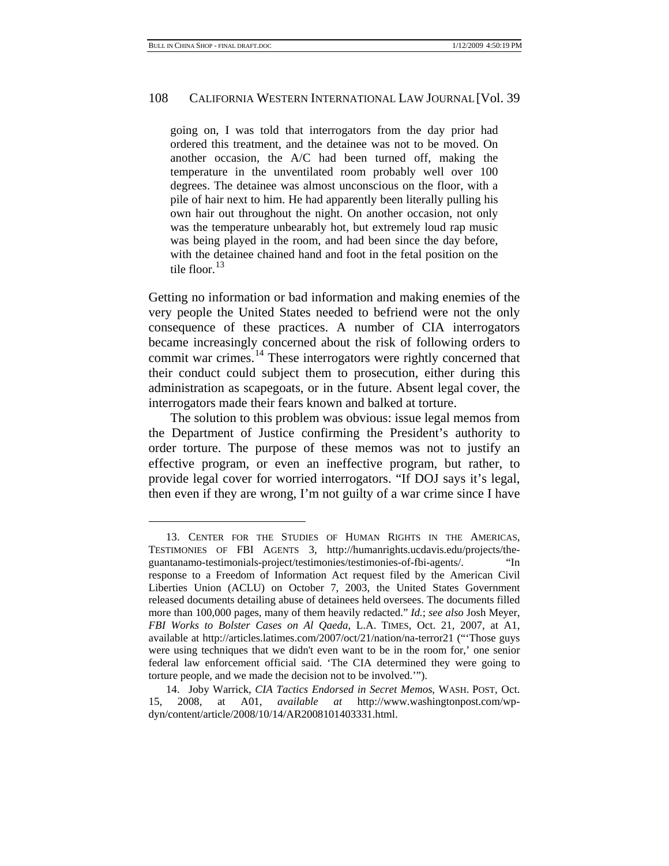#### 108 CALIFORNIA WESTERN INTERNATIONAL LAW JOURNAL [Vol. 39

going on, I was told that interrogators from the day prior had ordered this treatment, and the detainee was not to be moved. On another occasion, the A/C had been turned off, making the temperature in the unventilated room probably well over 100 degrees. The detainee was almost unconscious on the floor, with a pile of hair next to him. He had apparently been literally pulling his own hair out throughout the night. On another occasion, not only was the temperature unbearably hot, but extremely loud rap music was being played in the room, and had been since the day before, with the detainee chained hand and foot in the fetal position on the tile floor.<sup>[13](#page-7-0)</sup>

Getting no information or bad information and making enemies of the very people the United States needed to befriend were not the only consequence of these practices. A number of CIA interrogators became increasingly concerned about the risk of following orders to commit war crimes.<sup>14</sup> These interrogators were rightly concerned that their conduct could subject them to prosecution, either during this administration as scapegoats, or in the future. Absent legal cover, the interrogators made their fears known and balked at torture.

The solution to this problem was obvious: issue legal memos from the Department of Justice confirming the President's authority to order torture. The purpose of these memos was not to justify an effective program, or even an ineffective program, but rather, to provide legal cover for worried interrogators. "If DOJ says it's legal, then even if they are wrong, I'm not guilty of a war crime since I have

<span id="page-7-0"></span><sup>13.</sup> CENTER FOR THE STUDIES OF HUMAN RIGHTS IN THE AMERICAS, TESTIMONIES OF FBI AGENTS 3, http://humanrights.ucdavis.edu/projects/theguantanamo-testimonials-project/testimonies/testimonies-of-fbi-agents/. "In response to a Freedom of Information Act request filed by the American Civil Liberties Union (ACLU) on October 7, 2003, the United States Government released documents detailing abuse of detainees held oversees. The documents filled more than 100,000 pages, many of them heavily redacted." *Id.*; *see also* Josh Meyer, *FBI Works to Bolster Cases on Al Qaeda*, L.A. TIMES, Oct. 21, 2007, at A1, available at http://articles.latimes.com/2007/oct/21/nation/na-terror21 ("'Those guys were using techniques that we didn't even want to be in the room for,' one senior federal law enforcement official said. 'The CIA determined they were going to torture people, and we made the decision not to be involved.'").

<span id="page-7-1"></span><sup>14.</sup> Joby Warrick, *CIA Tactics Endorsed in Secret Memos*, WASH. POST, Oct. 15, 2008, at A01, *available at* http://www.washingtonpost.com/wpdyn/content/article/2008/10/14/AR2008101403331.html.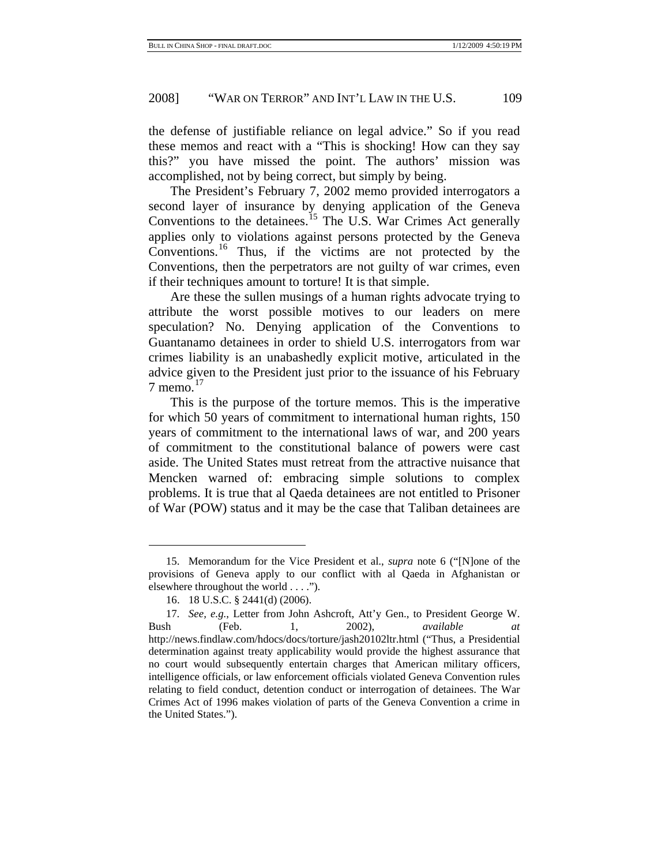the defense of justifiable reliance on legal advice." So if you read these memos and react with a "This is shocking! How can they say this?" you have missed the point. The authors' mission was accomplished, not by being correct, but simply by being.

The President's February 7, 2002 memo provided interrogators a second layer of insurance by denying application of the Geneva Conventions to the detainees.<sup>15</sup> The U.S. War Crimes Act generally applies only to violations against persons protected by the Geneva Conventions.[16](#page-8-1) Thus, if the victims are not protected by the Conventions, then the perpetrators are not guilty of war crimes, even if their techniques amount to torture! It is that simple.

Are these the sullen musings of a human rights advocate trying to attribute the worst possible motives to our leaders on mere speculation? No. Denying application of the Conventions to Guantanamo detainees in order to shield U.S. interrogators from war crimes liability is an unabashedly explicit motive, articulated in the advice given to the President just prior to the issuance of his February  $7$  memo.<sup>[17](#page-8-2)</sup>

This is the purpose of the torture memos. This is the imperative for which 50 years of commitment to international human rights, 150 years of commitment to the international laws of war, and 200 years of commitment to the constitutional balance of powers were cast aside. The United States must retreat from the attractive nuisance that Mencken warned of: embracing simple solutions to complex problems. It is true that al Qaeda detainees are not entitled to Prisoner of War (POW) status and it may be the case that Taliban detainees are

<span id="page-8-0"></span><sup>15.</sup> Memorandum for the Vice President et al., *supra* note 6 ("[N]one of the provisions of Geneva apply to our conflict with al Qaeda in Afghanistan or elsewhere throughout the world . . . .").

<sup>16. 18</sup> U.S.C. § 2441(d) (2006).

<span id="page-8-2"></span><span id="page-8-1"></span><sup>17</sup>*. See, e.g.*, Letter from John Ashcroft, Att'y Gen., to President George W. Bush (Feb. 1, 2002), *available at* http://news.findlaw.com/hdocs/docs/torture/jash20102ltr.html ("Thus, a Presidential determination against treaty applicability would provide the highest assurance that no court would subsequently entertain charges that American military officers, intelligence officials, or law enforcement officials violated Geneva Convention rules relating to field conduct, detention conduct or interrogation of detainees. The War Crimes Act of 1996 makes violation of parts of the Geneva Convention a crime in the United States.").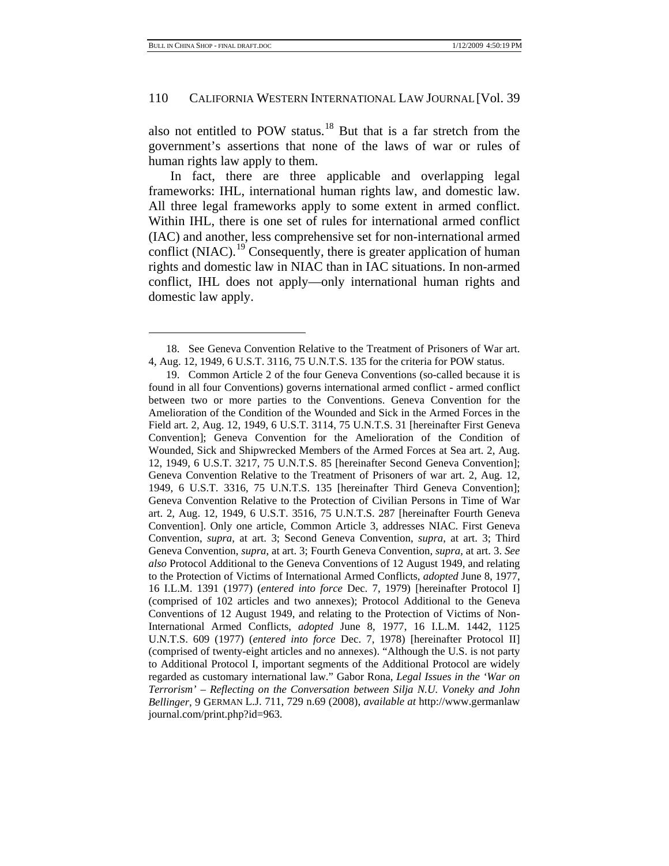#### 110 CALIFORNIA WESTERN INTERNATIONAL LAW JOURNAL [Vol. 39

also not entitled to POW status.<sup>18</sup> But that is a far stretch from the government's assertions that none of the laws of war or rules of human rights law apply to them.

In fact, there are three applicable and overlapping legal frameworks: IHL, international human rights law, and domestic law. All three legal frameworks apply to some extent in armed conflict. Within IHL, there is one set of rules for international armed conflict (IAC) and another, less comprehensive set for non-international armed conflict  $(NIAC)$ .<sup>19</sup> Consequently, there is greater application of human rights and domestic law in NIAC than in IAC situations. In non-armed conflict, IHL does not apply—only international human rights and domestic law apply.

<span id="page-9-0"></span><sup>18.</sup> See Geneva Convention Relative to the Treatment of Prisoners of War art. 4, Aug. 12, 1949, 6 U.S.T. 3116, 75 U.N.T.S. 135 for the criteria for POW status.

<span id="page-9-1"></span><sup>19.</sup> Common Article 2 of the four Geneva Conventions (so-called because it is found in all four Conventions) governs international armed conflict - armed conflict between two or more parties to the Conventions. Geneva Convention for the Amelioration of the Condition of the Wounded and Sick in the Armed Forces in the Field art. 2, Aug. 12, 1949, 6 U.S.T. 3114, 75 U.N.T.S. 31 [hereinafter First Geneva Convention]; Geneva Convention for the Amelioration of the Condition of Wounded, Sick and Shipwrecked Members of the Armed Forces at Sea art. 2, Aug. 12, 1949, 6 U.S.T. 3217, 75 U.N.T.S. 85 [hereinafter Second Geneva Convention]; Geneva Convention Relative to the Treatment of Prisoners of war art. 2, Aug. 12, 1949, 6 U.S.T. 3316, 75 U.N.T.S. 135 [hereinafter Third Geneva Convention]; Geneva Convention Relative to the Protection of Civilian Persons in Time of War art. 2, Aug. 12, 1949, 6 U.S.T. 3516, 75 U.N.T.S. 287 [hereinafter Fourth Geneva Convention]. Only one article, Common Article 3, addresses NIAC. First Geneva Convention, *supra*, at art. 3; Second Geneva Convention, *supra*, at art. 3; Third Geneva Convention, *supra*, at art. 3; Fourth Geneva Convention, *supra*, at art. 3. *See also* Protocol Additional to the Geneva Conventions of 12 August 1949, and relating to the Protection of Victims of International Armed Conflicts, *adopted* June 8, 1977, 16 I.L.M. 1391 (1977) (*entered into force* Dec. 7, 1979) [hereinafter Protocol I] (comprised of 102 articles and two annexes); Protocol Additional to the Geneva Conventions of 12 August 1949, and relating to the Protection of Victims of Non-International Armed Conflicts, *adopted* June 8, 1977, 16 I.L.M. 1442, 1125 U.N.T.S. 609 (1977) (*entered into force* Dec. 7, 1978) [hereinafter Protocol II] (comprised of twenty-eight articles and no annexes). "Although the U.S. is not party to Additional Protocol I, important segments of the Additional Protocol are widely regarded as customary international law." Gabor Rona, *Legal Issues in the 'War on Terrorism' – Reflecting on the Conversation between Silja N.U. Voneky and John Bellinger*, 9 GERMAN L.J. 711, 729 n.69 (2008), *available at* http://www.germanlaw journal.com/print.php?id=963.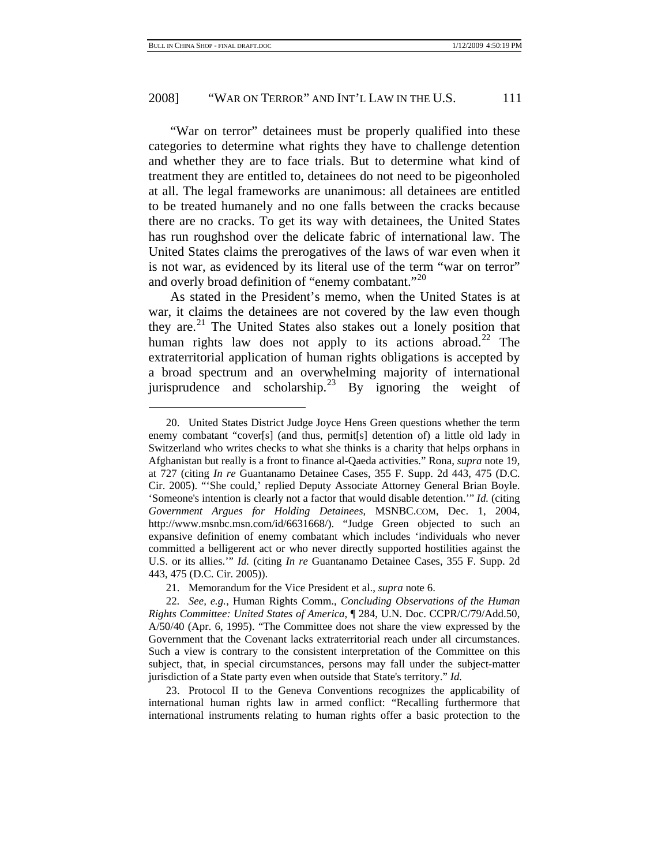# 2008] "WAR ON TERROR" AND INT'L LAW IN THE U.S. 111

"War on terror" detainees must be properly qualified into these categories to determine what rights they have to challenge detention and whether they are to face trials. But to determine what kind of treatment they are entitled to, detainees do not need to be pigeonholed at all. The legal frameworks are unanimous: all detainees are entitled to be treated humanely and no one falls between the cracks because there are no cracks. To get its way with detainees, the United States has run roughshod over the delicate fabric of international law. The United States claims the prerogatives of the laws of war even when it is not war, as evidenced by its literal use of the term "war on terror" and overly broad definition of "enemy combatant."<sup>[20](#page-10-0)</sup>

As stated in the President's memo, when the United States is at war, it claims the detainees are not covered by the law even though they are. $^{21}$  $^{21}$  $^{21}$  The United States also stakes out a lonely position that human rights law does not apply to its actions abroad.<sup>[22](#page-10-2)</sup> The extraterritorial application of human rights obligations is accepted by a broad spectrum and an overwhelming majority of international jurisprudence and scholarship.<sup>23</sup> By ignoring the weight of

21. Memorandum for the Vice President et al., *supra* note 6.

<span id="page-10-3"></span>23. Protocol II to the Geneva Conventions recognizes the applicability of international human rights law in armed conflict: "Recalling furthermore that international instruments relating to human rights offer a basic protection to the

<span id="page-10-0"></span><sup>20.</sup> United States District Judge Joyce Hens Green questions whether the term enemy combatant "cover[s] (and thus, permit[s] detention of) a little old lady in Switzerland who writes checks to what she thinks is a charity that helps orphans in Afghanistan but really is a front to finance al-Qaeda activities." Rona, *supra* note 19, at 727 (citing *In re* Guantanamo Detainee Cases, 355 F. Supp. 2d 443, 475 (D.C. Cir. 2005). "'She could,' replied Deputy Associate Attorney General Brian Boyle. 'Someone's intention is clearly not a factor that would disable detention.'" *Id.* (citing *Government Argues for Holding Detainees*, MSNBC.COM, Dec. 1, 2004, http://www.msnbc.msn.com/id/6631668/). "Judge Green objected to such an expansive definition of enemy combatant which includes 'individuals who never committed a belligerent act or who never directly supported hostilities against the U.S. or its allies.'" *Id.* (citing *In re* Guantanamo Detainee Cases, 355 F. Supp. 2d 443, 475 (D.C. Cir. 2005)).

<span id="page-10-2"></span><span id="page-10-1"></span><sup>22</sup>*. See, e.g.*, Human Rights Comm., *Concluding Observations of the Human Rights Committee: United States of America*, ¶ 284, U.N. Doc. CCPR/C/79/Add.50, A/50/40 (Apr. 6, 1995). "The Committee does not share the view expressed by the Government that the Covenant lacks extraterritorial reach under all circumstances. Such a view is contrary to the consistent interpretation of the Committee on this subject, that, in special circumstances, persons may fall under the subject-matter jurisdiction of a State party even when outside that State's territory." *Id.*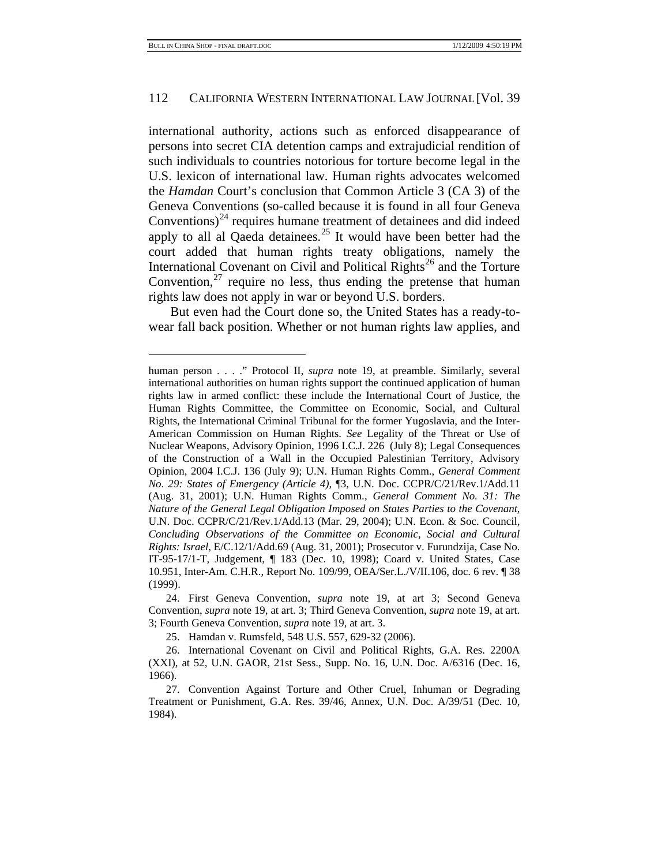#### 112 CALIFORNIA WESTERN INTERNATIONAL LAW JOURNAL [Vol. 39

international authority, actions such as enforced disappearance of persons into secret CIA detention camps and extrajudicial rendition of such individuals to countries notorious for torture become legal in the U.S. lexicon of international law. Human rights advocates welcomed the *Hamdan* Court's conclusion that Common Article 3 (CA 3) of the Geneva Conventions (so-called because it is found in all four Geneva Conventions) $^{24}$  $^{24}$  $^{24}$  requires humane treatment of detainees and did indeed apply to all al Qaeda detainees.<sup>[25](#page-11-1)</sup> It would have been better had the court added that human rights treaty obligations, namely the International Covenant on Civil and Political Rights<sup>26</sup> and the Torture Convention, $^{27}$  require no less, thus ending the pretense that human rights law does not apply in war or beyond U.S. borders.

But even had the Court done so, the United States has a ready-towear fall back position. Whether or not human rights law applies, and

human person . . . ." Protocol II, *supra* note 19, at preamble. Similarly, several international authorities on human rights support the continued application of human rights law in armed conflict: these include the International Court of Justice, the Human Rights Committee, the Committee on Economic, Social, and Cultural Rights, the International Criminal Tribunal for the former Yugoslavia, and the Inter-American Commission on Human Rights. *See* Legality of the Threat or Use of Nuclear Weapons, Advisory Opinion, 1996 I.C.J. 226 (July 8); Legal Consequences of the Construction of a Wall in the Occupied Palestinian Territory, Advisory Opinion, 2004 I.C.J. 136 (July 9); U.N. Human Rights Comm., *General Comment No. 29: States of Emergency (Article 4)*, ¶3, U.N. Doc. CCPR/C/21/Rev.1/Add.11 (Aug. 31, 2001); U.N. Human Rights Comm., *General Comment No. 31: The Nature of the General Legal Obligation Imposed on States Parties to the Covenant*, U.N. Doc. CCPR/C/21/Rev.1/Add.13 (Mar. 29, 2004); U.N. Econ. & Soc. Council, *Concluding Observations of the Committee on Economic, Social and Cultural Rights: Israel*, E/C.12/1/Add.69 (Aug. 31, 2001); Prosecutor v. Furundzija, Case No. IT-95-17/1-T, Judgement, ¶ 183 (Dec. 10, 1998); Coard v. United States*,* Case 10.951, Inter-Am. C.H.R., Report No. 109/99, OEA/Ser.L./V/II.106, doc. 6 rev. ¶ 38 (1999).

<span id="page-11-0"></span><sup>24.</sup> First Geneva Convention, *supra* note 19, at art 3; Second Geneva Convention, *supra* note 19, at art. 3; Third Geneva Convention, *supra* note 19, at art. 3; Fourth Geneva Convention, *supra* note 19, at art. 3.

<sup>25.</sup> Hamdan v. Rumsfeld, 548 U.S. 557, 629-32 (2006)*.*

<span id="page-11-2"></span><span id="page-11-1"></span><sup>26.</sup> International Covenant on Civil and Political Rights, G.A. Res. 2200A (XXI), at 52, U.N. GAOR, 21st Sess., Supp. No. 16, U.N. Doc. A/6316 (Dec. 16, 1966).

<span id="page-11-3"></span><sup>27.</sup> Convention Against Torture and Other Cruel, Inhuman or Degrading Treatment or Punishment, G.A. Res. 39/46, Annex, U.N. Doc. A/39/51 (Dec. 10, 1984).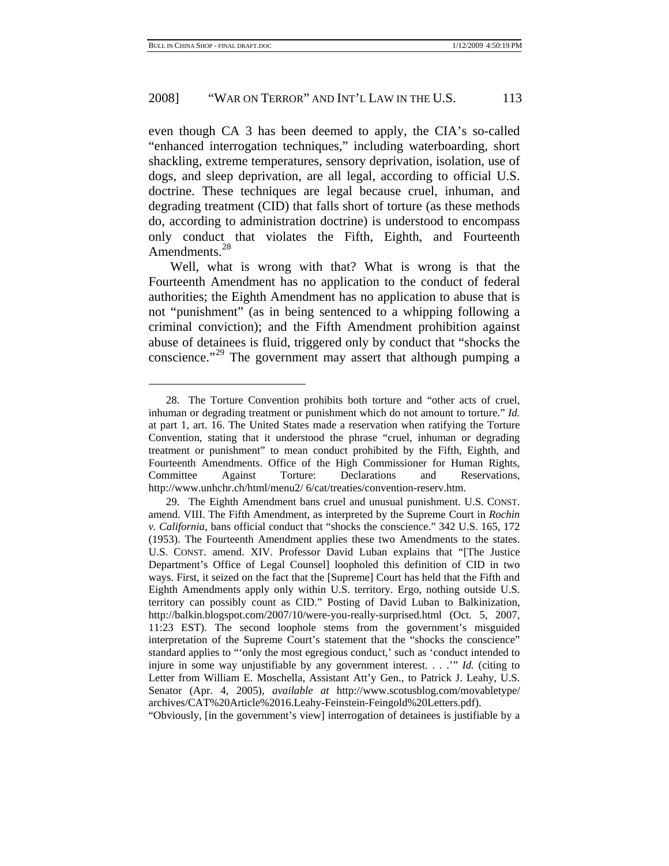# 2008] "WAR ON TERROR" AND INT'L LAW IN THE U.S. 113

even though CA 3 has been deemed to apply, the CIA's so-called "enhanced interrogation techniques," including waterboarding, short shackling, extreme temperatures, sensory deprivation, isolation, use of dogs, and sleep deprivation, are all legal, according to official U.S. doctrine. These techniques are legal because cruel, inhuman, and degrading treatment (CID) that falls short of torture (as these methods do, according to administration doctrine) is understood to encompass only conduct that violates the Fifth, Eighth, and Fourteenth Amendments.<sup>[28](#page-12-0)</sup>

Well, what is wrong with that? What is wrong is that the Fourteenth Amendment has no application to the conduct of federal authorities; the Eighth Amendment has no application to abuse that is not "punishment" (as in being sentenced to a whipping following a criminal conviction); and the Fifth Amendment prohibition against abuse of detainees is fluid, triggered only by conduct that "shocks the conscience."<sup>29</sup> The government may assert that although pumping a

"Obviously, [in the government's view] interrogation of detainees is justifiable by a

<span id="page-12-0"></span><sup>28.</sup> The Torture Convention prohibits both torture and "other acts of cruel, inhuman or degrading treatment or punishment which do not amount to torture." *Id.* at part 1, art. 16. The United States made a reservation when ratifying the Torture Convention, stating that it understood the phrase "cruel, inhuman or degrading treatment or punishment" to mean conduct prohibited by the Fifth, Eighth, and Fourteenth Amendments. Office of the High Commissioner for Human Rights, Committee Against Torture: Declarations and Reservations, http://www.unhchr.ch/html/menu2/ 6/cat/treaties/convention-reserv.htm.

<span id="page-12-1"></span><sup>29.</sup> The Eighth Amendment bans cruel and unusual punishment. U.S. CONST. amend. VIII. The Fifth Amendment, as interpreted by the Supreme Court in *Rochin v. California*, bans official conduct that "shocks the conscience." 342 U.S. 165, 172 (1953). The Fourteenth Amendment applies these two Amendments to the states. U.S. CONST. amend. XIV. Professor David Luban explains that "[The Justice Department's Office of Legal Counsel] loopholed this definition of CID in two ways. First, it seized on the fact that the [Supreme] Court has held that the Fifth and Eighth Amendments apply only within U.S. territory. Ergo, nothing outside U.S. territory can possibly count as CID." Posting of David Luban to Balkinization, http://balkin.blogspot.com/2007/10/were-you-really-surprised.html (Oct. 5, 2007, 11:23 EST). The second loophole stems from the government's misguided interpretation of the Supreme Court's statement that the "shocks the conscience" standard applies to "'only the most egregious conduct,' such as 'conduct intended to injure in some way unjustifiable by any government interest. . . .'" *Id.* (citing to Letter from William E. Moschella, Assistant Att'y Gen., to Patrick J. Leahy, U.S. Senator (Apr. 4, 2005), *available at* http://www.scotusblog.com/movabletype/ archives/CAT%20Article%2016.Leahy-Feinstein-Feingold%20Letters.pdf).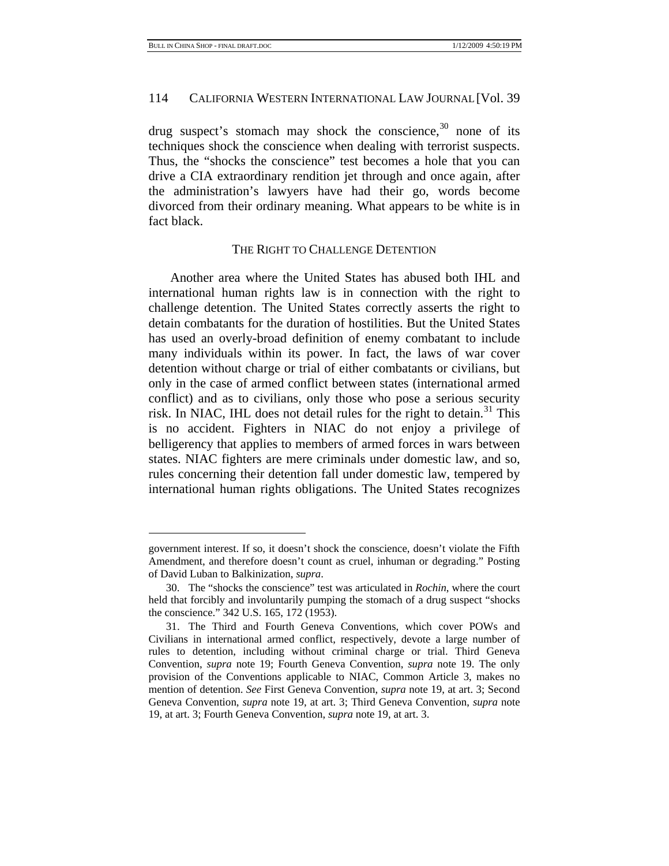# 114 CALIFORNIA WESTERN INTERNATIONAL LAW JOURNAL [Vol. 39

drug suspect's stomach may shock the conscience,  $30$  none of its techniques shock the conscience when dealing with terrorist suspects. Thus, the "shocks the conscience" test becomes a hole that you can drive a CIA extraordinary rendition jet through and once again, after the administration's lawyers have had their go, words become divorced from their ordinary meaning. What appears to be white is in fact black.

#### THE RIGHT TO CHALLENGE DETENTION

Another area where the United States has abused both IHL and international human rights law is in connection with the right to challenge detention. The United States correctly asserts the right to detain combatants for the duration of hostilities. But the United States has used an overly-broad definition of enemy combatant to include many individuals within its power. In fact, the laws of war cover detention without charge or trial of either combatants or civilians, but only in the case of armed conflict between states (international armed conflict) and as to civilians, only those who pose a serious security risk. In NIAC, IHL does not detail rules for the right to detain.<sup>[31](#page-13-1)</sup> This is no accident. Fighters in NIAC do not enjoy a privilege of belligerency that applies to members of armed forces in wars between states. NIAC fighters are mere criminals under domestic law, and so, rules concerning their detention fall under domestic law, tempered by international human rights obligations. The United States recognizes

government interest. If so, it doesn't shock the conscience, doesn't violate the Fifth Amendment, and therefore doesn't count as cruel, inhuman or degrading." Posting of David Luban to Balkinization, *supra*.

<span id="page-13-0"></span><sup>30.</sup> The "shocks the conscience" test was articulated in *Rochin*, where the court held that forcibly and involuntarily pumping the stomach of a drug suspect "shocks the conscience." 342 U.S. 165, 172 (1953).

<span id="page-13-1"></span><sup>31.</sup> The Third and Fourth Geneva Conventions, which cover POWs and Civilians in international armed conflict, respectively, devote a large number of rules to detention, including without criminal charge or trial. Third Geneva Convention, *supra* note 19; Fourth Geneva Convention, *supra* note 19. The only provision of the Conventions applicable to NIAC, Common Article 3, makes no mention of detention. *See* First Geneva Convention, *supra* note 19, at art. 3; Second Geneva Convention, *supra* note 19, at art. 3; Third Geneva Convention, *supra* note 19, at art. 3; Fourth Geneva Convention, *supra* note 19, at art. 3.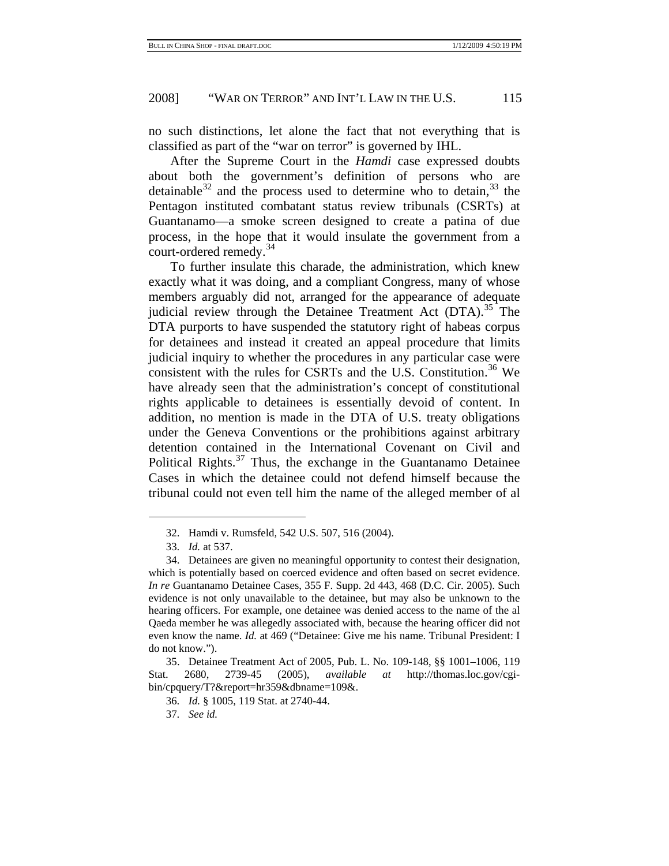no such distinctions, let alone the fact that not everything that is classified as part of the "war on terror" is governed by IHL.

After the Supreme Court in the *Hamdi* case expressed doubts about both the government's definition of persons who are detainable<sup>32</sup> and the process used to determine who to detain,  $33$  the Pentagon instituted combatant status review tribunals (CSRTs) at Guantanamo—a smoke screen designed to create a patina of due process, in the hope that it would insulate the government from a court-ordered remedy.<sup>[34](#page-14-2)</sup>

To further insulate this charade, the administration, which knew exactly what it was doing, and a compliant Congress, many of whose members arguably did not, arranged for the appearance of adequate judicial review through the Detainee Treatment Act  $(DTA)$ <sup>[35](#page-14-3)</sup>. The DTA purports to have suspended the statutory right of habeas corpus for detainees and instead it created an appeal procedure that limits judicial inquiry to whether the procedures in any particular case were consistent with the rules for CSRTs and the U.S. Constitution.<sup>[36](#page-14-4)</sup> We have already seen that the administration's concept of constitutional rights applicable to detainees is essentially devoid of content. In addition, no mention is made in the DTA of U.S. treaty obligations under the Geneva Conventions or the prohibitions against arbitrary detention contained in the International Covenant on Civil and Political Rights.<sup>[37](#page-14-5)</sup> Thus, the exchange in the Guantanamo Detainee Cases in which the detainee could not defend himself because the tribunal could not even tell him the name of the alleged member of al

<sup>32.</sup> Hamdi v. Rumsfeld*,* 542 U.S. 507, 516 (2004).

<sup>33</sup>*. Id.* at 537.

<span id="page-14-2"></span><span id="page-14-1"></span><span id="page-14-0"></span><sup>34.</sup> Detainees are given no meaningful opportunity to contest their designation, which is potentially based on coerced evidence and often based on secret evidence. *In re* Guantanamo Detainee Cases, 355 F. Supp. 2d 443, 468 (D.C. Cir. 2005). Such evidence is not only unavailable to the detainee, but may also be unknown to the hearing officers. For example, one detainee was denied access to the name of the al Qaeda member he was allegedly associated with, because the hearing officer did not even know the name. *Id.* at 469 ("Detainee: Give me his name. Tribunal President: I do not know.").

<span id="page-14-5"></span><span id="page-14-4"></span><span id="page-14-3"></span><sup>35.</sup> Detainee Treatment Act of 2005, Pub. L. No. 109-148, §§ 1001–1006, 119 Stat. 2680, 2739-45 (2005), *available at* http://thomas.loc.gov/cgibin/cpquery/T?&report=hr359&dbname=109&.

<sup>36</sup>*. Id.* § 1005, 119 Stat. at 2740-44.

<sup>37</sup>*. See id.*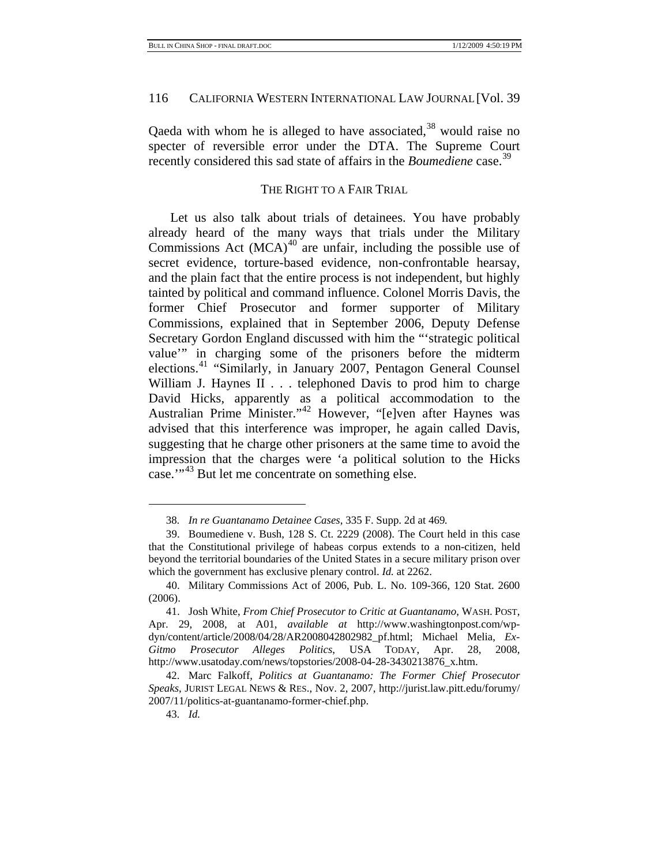Qaeda with whom he is alleged to have associated,  $38$  would raise no specter of reversible error under the DTA. The Supreme Court recently considered this sad state of affairs in the *Boumediene* case.[39](#page-15-1)

# THE RIGHT TO A FAIR TRIAL

Let us also talk about trials of detainees. You have probably already heard of the many ways that trials under the Military Commissions Act  $(MCA)^{40}$  are unfair, including the possible use of secret evidence, torture-based evidence, non-confrontable hearsay, and the plain fact that the entire process is not independent, but highly tainted by political and command influence. Colonel Morris Davis, the former Chief Prosecutor and former supporter of Military Commissions, explained that in September 2006, Deputy Defense Secretary Gordon England discussed with him the "'strategic political value'" in charging some of the prisoners before the midterm elections.<sup>[41](#page-15-3)</sup> "Similarly, in January 2007, Pentagon General Counsel William J. Haynes II . . . telephoned Davis to prod him to charge David Hicks, apparently as a political accommodation to the Australian Prime Minister."[42](#page-15-4) However, "[e]ven after Haynes was advised that this interference was improper, he again called Davis, suggesting that he charge other prisoners at the same time to avoid the impression that the charges were 'a political solution to the Hicks case."<sup>43</sup> But let me concentrate on something else.

<sup>38</sup>*. In re Guantanamo Detainee Cases*, 335 F. Supp. 2d at 469*.*

<span id="page-15-1"></span><span id="page-15-0"></span><sup>39.</sup> Boumediene v. Bush, 128 S. Ct. 2229 (2008). The Court held in this case that the Constitutional privilege of habeas corpus extends to a non-citizen, held beyond the territorial boundaries of the United States in a secure military prison over which the government has exclusive plenary control. *Id.* at 2262.

<span id="page-15-2"></span><sup>40.</sup> Military Commissions Act of 2006, Pub. L. No. 109-366, 120 Stat. 2600 (2006).

<span id="page-15-3"></span><sup>41.</sup> Josh White, *From Chief Prosecutor to Critic at Guantanamo*, WASH. POST, Apr. 29, 2008, at A01, *available at* http://www.washingtonpost.com/wpdyn/content/article/2008/04/28/AR2008042802982\_pf.html; Michael Melia, *Ex-Gitmo Prosecutor Alleges Politics*, USA TODAY, Apr. 28, 2008, http://www.usatoday.com/news/topstories/2008-04-28-3430213876\_x.htm.

<span id="page-15-5"></span><span id="page-15-4"></span><sup>42.</sup> Marc Falkoff, *Politics at Guantanamo: The Former Chief Prosecutor Speaks*, JURIST LEGAL NEWS & RES., Nov. 2, 2007, http://jurist.law.pitt.edu/forumy/ 2007/11/politics-at-guantanamo-former-chief.php.

<sup>43</sup>*. Id.*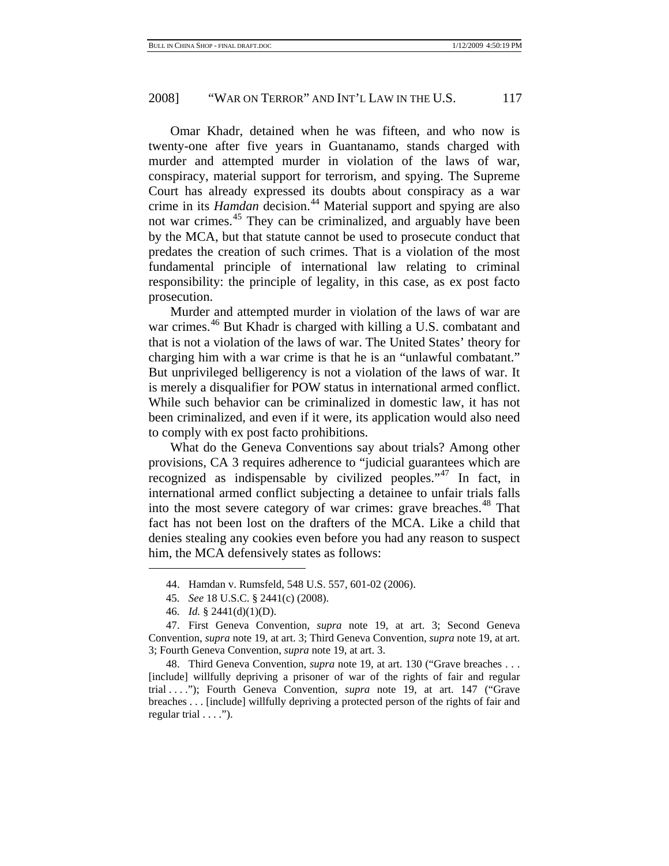Omar Khadr, detained when he was fifteen, and who now is twenty-one after five years in Guantanamo, stands charged with murder and attempted murder in violation of the laws of war, conspiracy, material support for terrorism, and spying. The Supreme Court has already expressed its doubts about conspiracy as a war crime in its *Hamdan* decision.<sup>44</sup> Material support and spying are also not war crimes.<sup>[45](#page-16-1)</sup> They can be criminalized, and arguably have been by the MCA, but that statute cannot be used to prosecute conduct that predates the creation of such crimes. That is a violation of the most fundamental principle of international law relating to criminal responsibility: the principle of legality, in this case, as ex post facto prosecution.

Murder and attempted murder in violation of the laws of war are war crimes.<sup>[46](#page-16-2)</sup> But Khadr is charged with killing a U.S. combatant and that is not a violation of the laws of war. The United States' theory for charging him with a war crime is that he is an "unlawful combatant." But unprivileged belligerency is not a violation of the laws of war. It is merely a disqualifier for POW status in international armed conflict. While such behavior can be criminalized in domestic law, it has not been criminalized, and even if it were, its application would also need to comply with ex post facto prohibitions.

What do the Geneva Conventions say about trials? Among other provisions, CA 3 requires adherence to "judicial guarantees which are recognized as indispensable by civilized peoples."<sup>[47](#page-16-3)</sup> In fact, in international armed conflict subjecting a detainee to unfair trials falls into the most severe category of war crimes: grave breaches.<sup>[48](#page-16-4)</sup> That fact has not been lost on the drafters of the MCA. Like a child that denies stealing any cookies even before you had any reason to suspect him, the MCA defensively states as follows:

<sup>44.</sup> Hamdan v. Rumsfeld, 548 U.S. 557, 601-02 (2006).

<sup>45</sup>*. See* 18 U.S.C. § 2441(c) (2008).

<sup>46</sup>*. Id.* § 2441(d)(1)(D).

<span id="page-16-3"></span><span id="page-16-2"></span><span id="page-16-1"></span><span id="page-16-0"></span><sup>47.</sup> First Geneva Convention, *supra* note 19, at art. 3; Second Geneva Convention, *supra* note 19, at art. 3; Third Geneva Convention, *supra* note 19, at art. 3; Fourth Geneva Convention, *supra* note 19, at art. 3.

<span id="page-16-4"></span><sup>48.</sup> Third Geneva Convention, *supra* note 19, at art. 130 ("Grave breaches . . . [include] willfully depriving a prisoner of war of the rights of fair and regular trial . . . ."); Fourth Geneva Convention, *supra* note 19, at art. 147 ("Grave breaches . . . [include] willfully depriving a protected person of the rights of fair and regular trial . . . .").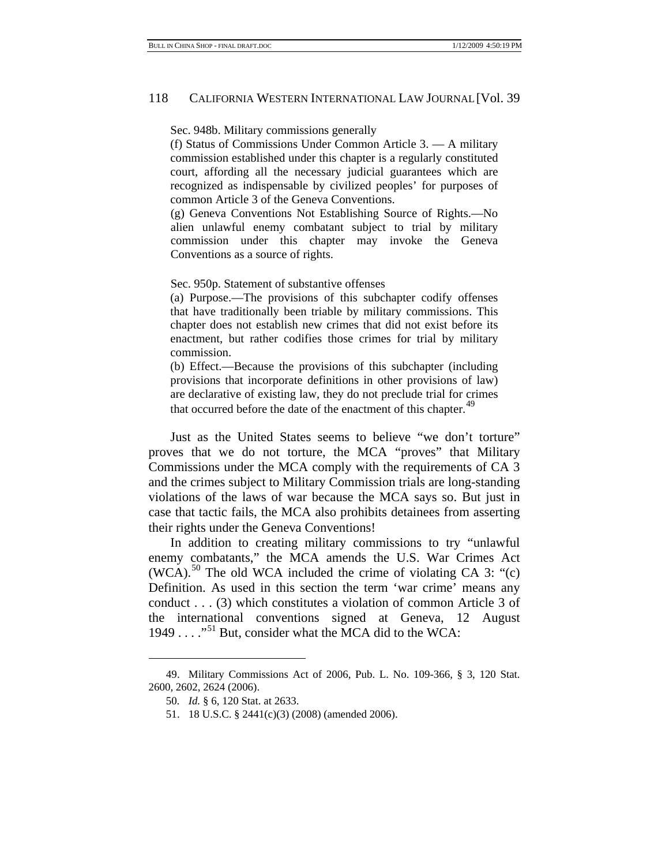Sec. 948b. Military commissions generally

(f) Status of Commissions Under Common Article 3. — A military commission established under this chapter is a regularly constituted court, affording all the necessary judicial guarantees which are recognized as indispensable by civilized peoples' for purposes of common Article 3 of the Geneva Conventions.

(g) Geneva Conventions Not Establishing Source of Rights.—No alien unlawful enemy combatant subject to trial by military commission under this chapter may invoke the Geneva Conventions as a source of rights.

Sec. 950p. Statement of substantive offenses

(a) Purpose.—The provisions of this subchapter codify offenses that have traditionally been triable by military commissions. This chapter does not establish new crimes that did not exist before its enactment, but rather codifies those crimes for trial by military commission.

(b) Effect.—Because the provisions of this subchapter (including provisions that incorporate definitions in other provisions of law) are declarative of existing law, they do not preclude trial for crimes that occurred before the date of the enactment of this chapter.<sup>[49](#page-17-0)</sup>

Just as the United States seems to believe "we don't torture" proves that we do not torture, the MCA "proves" that Military Commissions under the MCA comply with the requirements of CA 3 and the crimes subject to Military Commission trials are long-standing violations of the laws of war because the MCA says so. But just in case that tactic fails, the MCA also prohibits detainees from asserting their rights under the Geneva Conventions!

In addition to creating military commissions to try "unlawful enemy combatants," the MCA amends the U.S. War Crimes Act  $(WCA)$ .<sup>50</sup> The old WCA included the crime of violating CA 3: "(c) Definition. As used in this section the term 'war crime' means any conduct . . . (3) which constitutes a violation of common Article 3 of the international conventions signed at Geneva, 12 August 1949 . . . . . . . . . . . . . . But, consider what the MCA did to the WCA:

<span id="page-17-2"></span><span id="page-17-1"></span><span id="page-17-0"></span><sup>49.</sup> Military Commissions Act of 2006, Pub. L. No. 109-366, § 3, 120 Stat. 2600, 2602, 2624 (2006).

<sup>50</sup>*. Id.* § 6, 120 Stat. at 2633.

<sup>51. 18</sup> U.S.C. § 2441(c)(3) (2008) (amended 2006).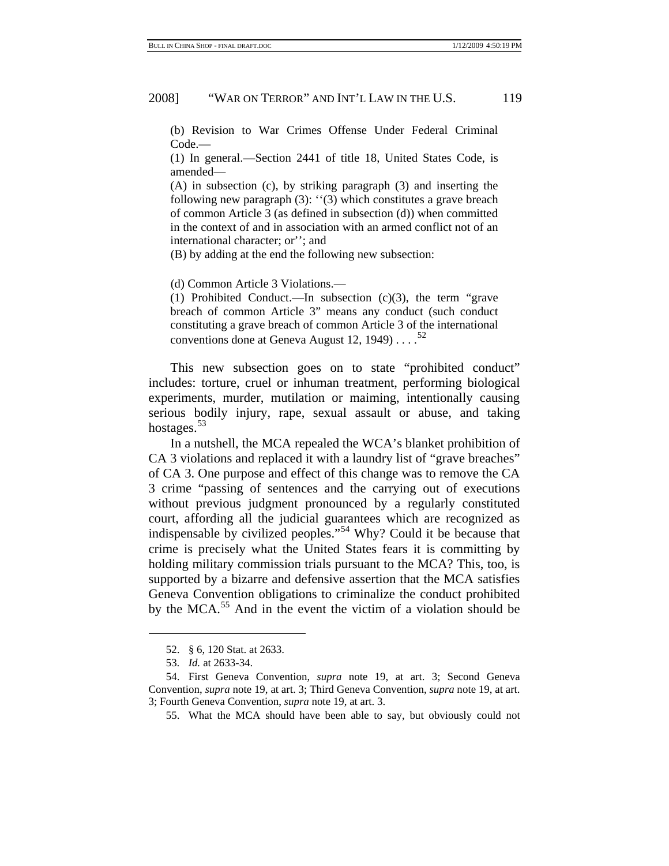(b) Revision to War Crimes Offense Under Federal Criminal Code.—

(1) In general.—Section 2441 of title 18, United States Code, is amended—

(A) in subsection (c), by striking paragraph (3) and inserting the following new paragraph (3): ''(3) which constitutes a grave breach of common Article 3 (as defined in subsection (d)) when committed in the context of and in association with an armed conflict not of an international character; or''; and

(B) by adding at the end the following new subsection:

(d) Common Article 3 Violations.—

(1) Prohibited Conduct.—In subsection (c)(3), the term "grave breach of common Article 3" means any conduct (such conduct constituting a grave breach of common Article 3 of the international conventions done at Geneva August 12, 1949)... $^{52}$  $^{52}$  $^{52}$ 

This new subsection goes on to state "prohibited conduct" includes: torture, cruel or inhuman treatment, performing biological experiments, murder, mutilation or maiming, intentionally causing serious bodily injury, rape, sexual assault or abuse, and taking hostages.<sup>[53](#page-18-1)</sup>

In a nutshell, the MCA repealed the WCA's blanket prohibition of CA 3 violations and replaced it with a laundry list of "grave breaches" of CA 3. One purpose and effect of this change was to remove the CA 3 crime "passing of sentences and the carrying out of executions without previous judgment pronounced by a regularly constituted court, affording all the judicial guarantees which are recognized as indispensable by civilized peoples."[54](#page-18-2) Why? Could it be because that crime is precisely what the United States fears it is committing by holding military commission trials pursuant to the MCA? This, too, is supported by a bizarre and defensive assertion that the MCA satisfies Geneva Convention obligations to criminalize the conduct prohibited by the MCA.<sup>[55](#page-18-3)</sup> And in the event the victim of a violation should be

<sup>52. § 6, 120</sup> Stat. at 2633.

<sup>53</sup>*. Id.* at 2633-34.

<span id="page-18-3"></span><span id="page-18-2"></span><span id="page-18-1"></span><span id="page-18-0"></span><sup>54.</sup> First Geneva Convention, *supra* note 19, at art. 3; Second Geneva Convention, *supra* note 19, at art. 3; Third Geneva Convention, *supra* note 19, at art. 3; Fourth Geneva Convention, *supra* note 19, at art. 3.

<sup>55.</sup> What the MCA should have been able to say, but obviously could not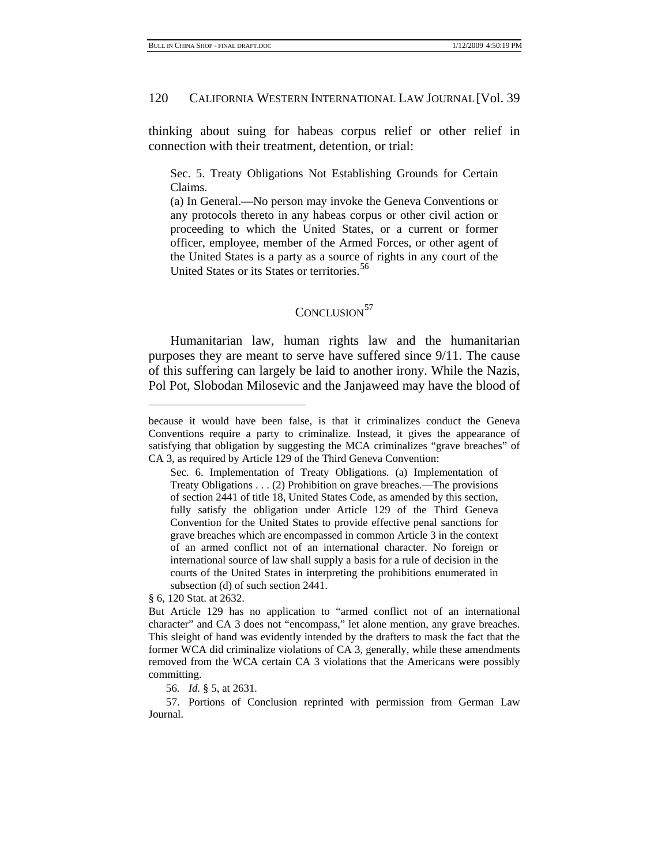thinking about suing for habeas corpus relief or other relief in connection with their treatment, detention, or trial:

Sec. 5. Treaty Obligations Not Establishing Grounds for Certain Claims.

(a) In General.—No person may invoke the Geneva Conventions or any protocols thereto in any habeas corpus or other civil action or proceeding to which the United States, or a current or former officer, employee, member of the Armed Forces, or other agent of the United States is a party as a source of rights in any court of the United States or its States or territories.<sup>[56](#page-19-0)</sup>

# CONCLUSION<sup>[57](#page-19-1)</sup>

Humanitarian law, human rights law and the humanitarian purposes they are meant to serve have suffered since 9/11. The cause of this suffering can largely be laid to another irony. While the Nazis, Pol Pot, Slobodan Milosevic and the Janjaweed may have the blood of

§ 6, 120 Stat. at 2632.

l

56*. Id.* § 5, at 2631*.*

<span id="page-19-1"></span><span id="page-19-0"></span>57. Portions of Conclusion reprinted with permission from German Law Journal.

because it would have been false, is that it criminalizes conduct the Geneva Conventions require a party to criminalize. Instead, it gives the appearance of satisfying that obligation by suggesting the MCA criminalizes "grave breaches" of CA 3, as required by Article 129 of the Third Geneva Convention:

Sec. 6. Implementation of Treaty Obligations. (a) Implementation of Treaty Obligations . . . (2) Prohibition on grave breaches.—The provisions of section 2441 of title 18, United States Code, as amended by this section, fully satisfy the obligation under Article 129 of the Third Geneva Convention for the United States to provide effective penal sanctions for grave breaches which are encompassed in common Article 3 in the context of an armed conflict not of an international character. No foreign or international source of law shall supply a basis for a rule of decision in the courts of the United States in interpreting the prohibitions enumerated in subsection (d) of such section 2441.

But Article 129 has no application to "armed conflict not of an international character" and CA 3 does not "encompass," let alone mention, any grave breaches. This sleight of hand was evidently intended by the drafters to mask the fact that the former WCA did criminalize violations of CA 3, generally, while these amendments removed from the WCA certain CA 3 violations that the Americans were possibly committing.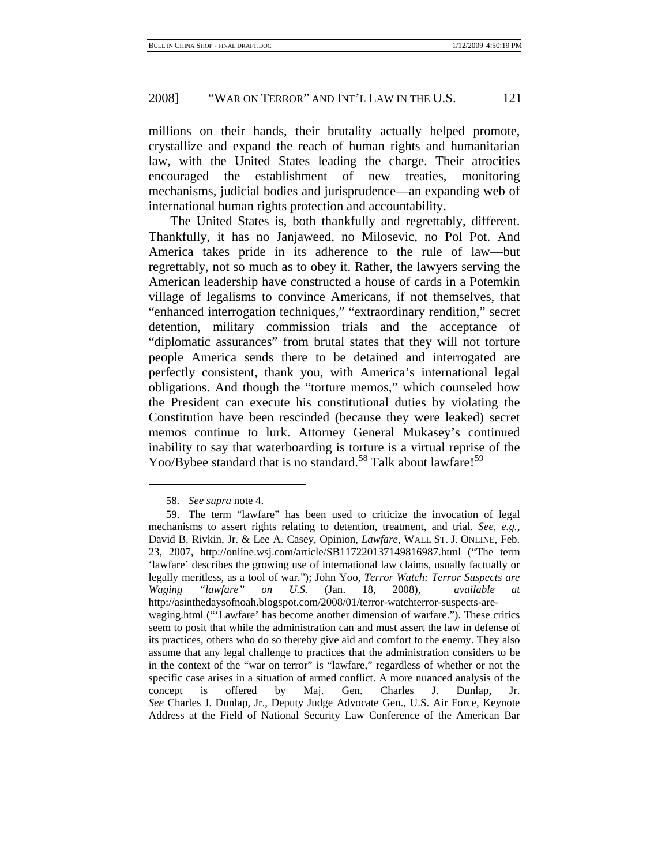millions on their hands, their brutality actually helped promote, crystallize and expand the reach of human rights and humanitarian law, with the United States leading the charge. Their atrocities encouraged the establishment of new treaties, monitoring mechanisms, judicial bodies and jurisprudence—an expanding web of international human rights protection and accountability.

The United States is, both thankfully and regrettably, different. Thankfully, it has no Janjaweed, no Milosevic, no Pol Pot. And America takes pride in its adherence to the rule of law—but regrettably, not so much as to obey it. Rather, the lawyers serving the American leadership have constructed a house of cards in a Potemkin village of legalisms to convince Americans, if not themselves, that "enhanced interrogation techniques," "extraordinary rendition," secret detention, military commission trials and the acceptance of "diplomatic assurances" from brutal states that they will not torture people America sends there to be detained and interrogated are perfectly consistent, thank you, with America's international legal obligations. And though the "torture memos," which counseled how the President can execute his constitutional duties by violating the Constitution have been rescinded (because they were leaked) secret memos continue to lurk. Attorney General Mukasey's continued inability to say that waterboarding is torture is a virtual reprise of the Yoo/Bybee standard that is no standard.<sup>58</sup> Talk about lawfare!<sup>[59](#page-20-1)</sup>

<sup>58</sup>*. See supra* note 4.

<span id="page-20-1"></span><span id="page-20-0"></span><sup>59.</sup> The term "lawfare" has been used to criticize the invocation of legal mechanisms to assert rights relating to detention, treatment, and trial. *See, e.g.*, David B. Rivkin, Jr. & Lee A. Casey, Opinion, *Lawfare*, WALL ST. J. ONLINE, Feb. 23, 2007, http://online.wsj.com/article/SB117220137149816987.html ("The term 'lawfare' describes the growing use of international law claims, usually factually or legally meritless, as a tool of war."); John Yoo, *Terror Watch: Terror Suspects are Waging "lawfare" on U.S.* (Jan. 18, 2008), *available* http://asinthedaysofnoah.blogspot.com/2008/01/terror-watchterror-suspects-arewaging.html ("'Lawfare' has become another dimension of warfare."). These critics seem to posit that while the administration can and must assert the law in defense of its practices, others who do so thereby give aid and comfort to the enemy. They also assume that any legal challenge to practices that the administration considers to be in the context of the "war on terror" is "lawfare," regardless of whether or not the specific case arises in a situation of armed conflict. A more nuanced analysis of the concept is offered by Maj. Gen. Charles J. Dunlap, Jr. *See* Charles J. Dunlap, Jr., Deputy Judge Advocate Gen., U.S. Air Force, Keynote Address at the Field of National Security Law Conference of the American Bar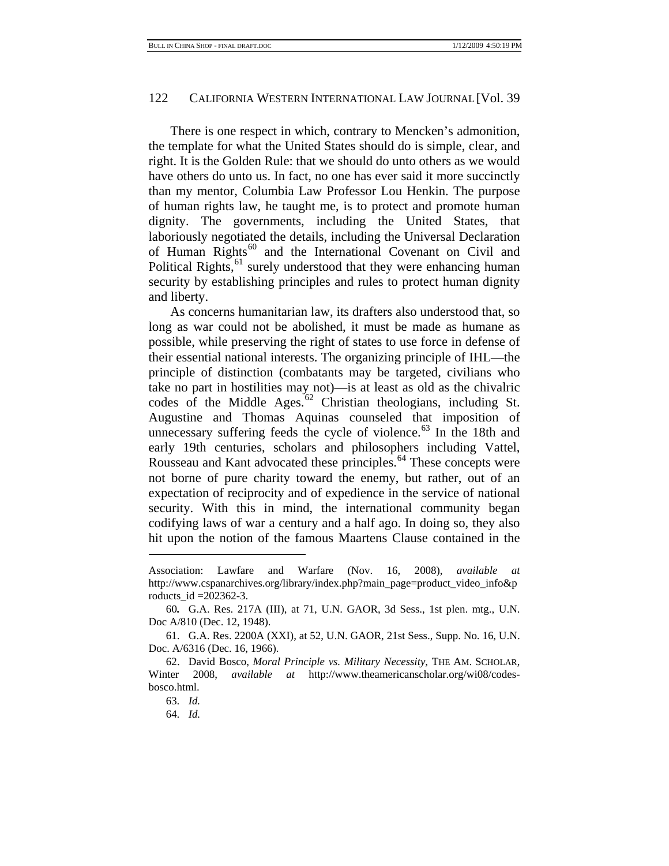There is one respect in which, contrary to Mencken's admonition, the template for what the United States should do is simple, clear, and right. It is the Golden Rule: that we should do unto others as we would have others do unto us. In fact, no one has ever said it more succinctly than my mentor, Columbia Law Professor Lou Henkin. The purpose of human rights law, he taught me, is to protect and promote human dignity. The governments, including the United States, that laboriously negotiated the details, including the Universal Declaration of Human Rights<sup>[60](#page-21-0)</sup> and the International Covenant on Civil and Political Rights, $61$  surely understood that they were enhancing human security by establishing principles and rules to protect human dignity and liberty.

As concerns humanitarian law, its drafters also understood that, so long as war could not be abolished, it must be made as humane as possible, while preserving the right of states to use force in defense of their essential national interests. The organizing principle of IHL—the principle of distinction (combatants may be targeted, civilians who take no part in hostilities may not)—is at least as old as the chivalric codes of the Middle Ages.<sup>[62](#page-21-2)</sup> Christian theologians, including St. Augustine and Thomas Aquinas counseled that imposition of unnecessary suffering feeds the cycle of violence.<sup>63</sup> In the 18th and early 19th centuries, scholars and philosophers including Vattel, Rousseau and Kant advocated these principles.<sup>64</sup> These concepts were not borne of pure charity toward the enemy, but rather, out of an expectation of reciprocity and of expedience in the service of national security. With this in mind, the international community began codifying laws of war a century and a half ago. In doing so, they also hit upon the notion of the famous Maartens Clause contained in the

Association: Lawfare and Warfare (Nov. 16, 2008), *available at* http://www.cspanarchives.org/library/index.php?main\_page=product\_video\_info&p roducts\_id =202362-3.

<span id="page-21-0"></span><sup>60</sup>*.* G.A. Res. 217A (III), at 71, U.N. GAOR, 3d Sess., 1st plen. mtg., U.N. Doc A/810 (Dec. 12, 1948).

<span id="page-21-1"></span><sup>61.</sup> G.A. Res. 2200A (XXI), at 52, U.N. GAOR, 21st Sess., Supp. No. 16, U.N. Doc. A/6316 (Dec. 16, 1966).

<span id="page-21-4"></span><span id="page-21-3"></span><span id="page-21-2"></span><sup>62.</sup> David Bosco, *Moral Principle vs. Military Necessity*, THE AM. SCHOLAR, Winter 2008, *available at* http://www.theamericanscholar.org/wi08/codesbosco.html.

<sup>63</sup>*. Id.*

<sup>64</sup>*. Id.*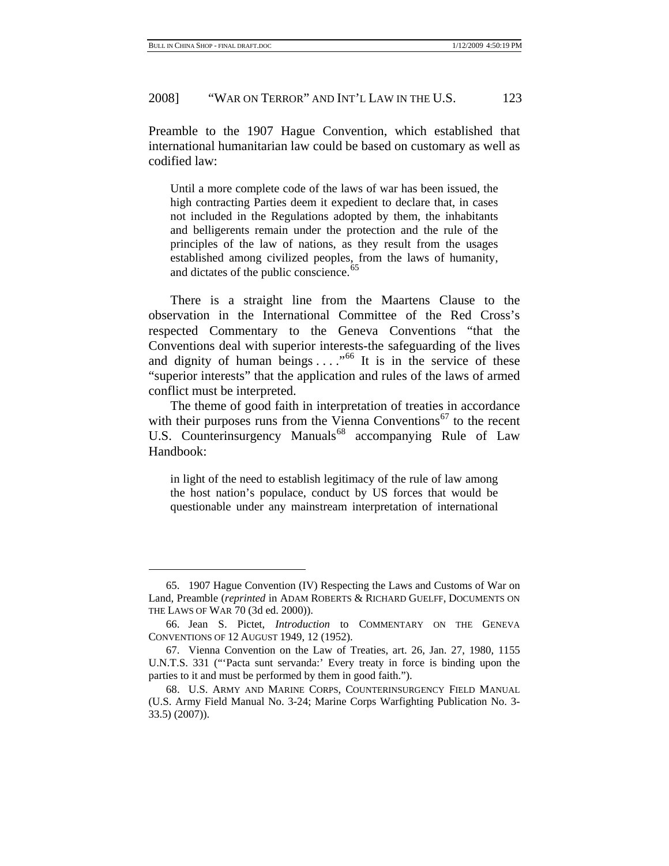# 2008] "WAR ON TERROR" AND INT'L LAW IN THE U.S. 123

Preamble to the 1907 Hague Convention, which established that international humanitarian law could be based on customary as well as codified law:

Until a more complete code of the laws of war has been issued, the high contracting Parties deem it expedient to declare that, in cases not included in the Regulations adopted by them, the inhabitants and belligerents remain under the protection and the rule of the principles of the law of nations, as they result from the usages established among civilized peoples, from the laws of humanity, and dictates of the public conscience.<sup>[65](#page-22-0)</sup>

There is a straight line from the Maartens Clause to the observation in the International Committee of the Red Cross's respected Commentary to the Geneva Conventions "that the Conventions deal with superior interests-the safeguarding of the lives and dignity of human beings  $\dots$ ."<sup>[66](#page-22-1)</sup> It is in the service of these "superior interests" that the application and rules of the laws of armed conflict must be interpreted.

The theme of good faith in interpretation of treaties in accordance with their purposes runs from the Vienna Conventions<sup>[67](#page-22-2)</sup> to the recent U.S. Counterinsurgency Manuals<sup>[68](#page-22-3)</sup> accompanying Rule of Law Handbook:

in light of the need to establish legitimacy of the rule of law among the host nation's populace, conduct by US forces that would be questionable under any mainstream interpretation of international

<span id="page-22-0"></span><sup>65. 1907</sup> Hague Convention (IV) Respecting the Laws and Customs of War on Land, Preamble (*reprinted* in ADAM ROBERTS & RICHARD GUELFF, DOCUMENTS ON THE LAWS OF WAR 70 (3d ed. 2000)).

<span id="page-22-1"></span><sup>66.</sup> Jean S. Pictet, *Introduction* to COMMENTARY ON THE GENEVA CONVENTIONS OF 12 AUGUST 1949, 12 (1952).

<span id="page-22-2"></span><sup>67.</sup> Vienna Convention on the Law of Treaties, art. 26, Jan. 27, 1980, 1155 U.N.T.S. 331 ("'Pacta sunt servanda:' Every treaty in force is binding upon the parties to it and must be performed by them in good faith.").

<span id="page-22-3"></span><sup>68.</sup> U.S. ARMY AND MARINE CORPS, COUNTERINSURGENCY FIELD MANUAL (U.S. Army Field Manual No. 3-24; Marine Corps Warfighting Publication No. 3- 33.5) (2007)).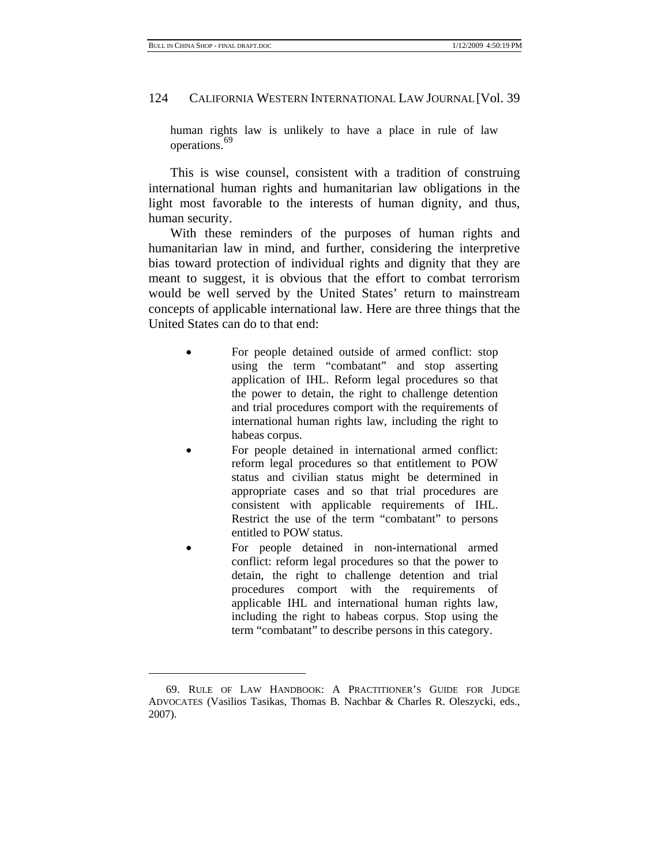#### 124 CALIFORNIA WESTERN INTERNATIONAL LAW JOURNAL [Vol. 39

human rights law is unlikely to have a place in rule of law operations.<sup>[69](#page-23-0)</sup>

This is wise counsel, consistent with a tradition of construing international human rights and humanitarian law obligations in the light most favorable to the interests of human dignity, and thus, human security.

With these reminders of the purposes of human rights and humanitarian law in mind, and further, considering the interpretive bias toward protection of individual rights and dignity that they are meant to suggest, it is obvious that the effort to combat terrorism would be well served by the United States' return to mainstream concepts of applicable international law. Here are three things that the United States can do to that end:

- For people detained outside of armed conflict: stop using the term "combatant" and stop asserting application of IHL. Reform legal procedures so that the power to detain, the right to challenge detention and trial procedures comport with the requirements of international human rights law, including the right to habeas corpus.
- For people detained in international armed conflict: reform legal procedures so that entitlement to POW status and civilian status might be determined in appropriate cases and so that trial procedures are consistent with applicable requirements of IHL. Restrict the use of the term "combatant" to persons entitled to POW status.
- For people detained in non-international armed conflict: reform legal procedures so that the power to detain, the right to challenge detention and trial procedures comport with the requirements of applicable IHL and international human rights law, including the right to habeas corpus. Stop using the term "combatant" to describe persons in this category.

<span id="page-23-0"></span><sup>69.</sup> RULE OF LAW HANDBOOK: A PRACTITIONER'S GUIDE FOR JUDGE ADVOCATES (Vasilios Tasikas, Thomas B. Nachbar & Charles R. Oleszycki, eds., 2007).